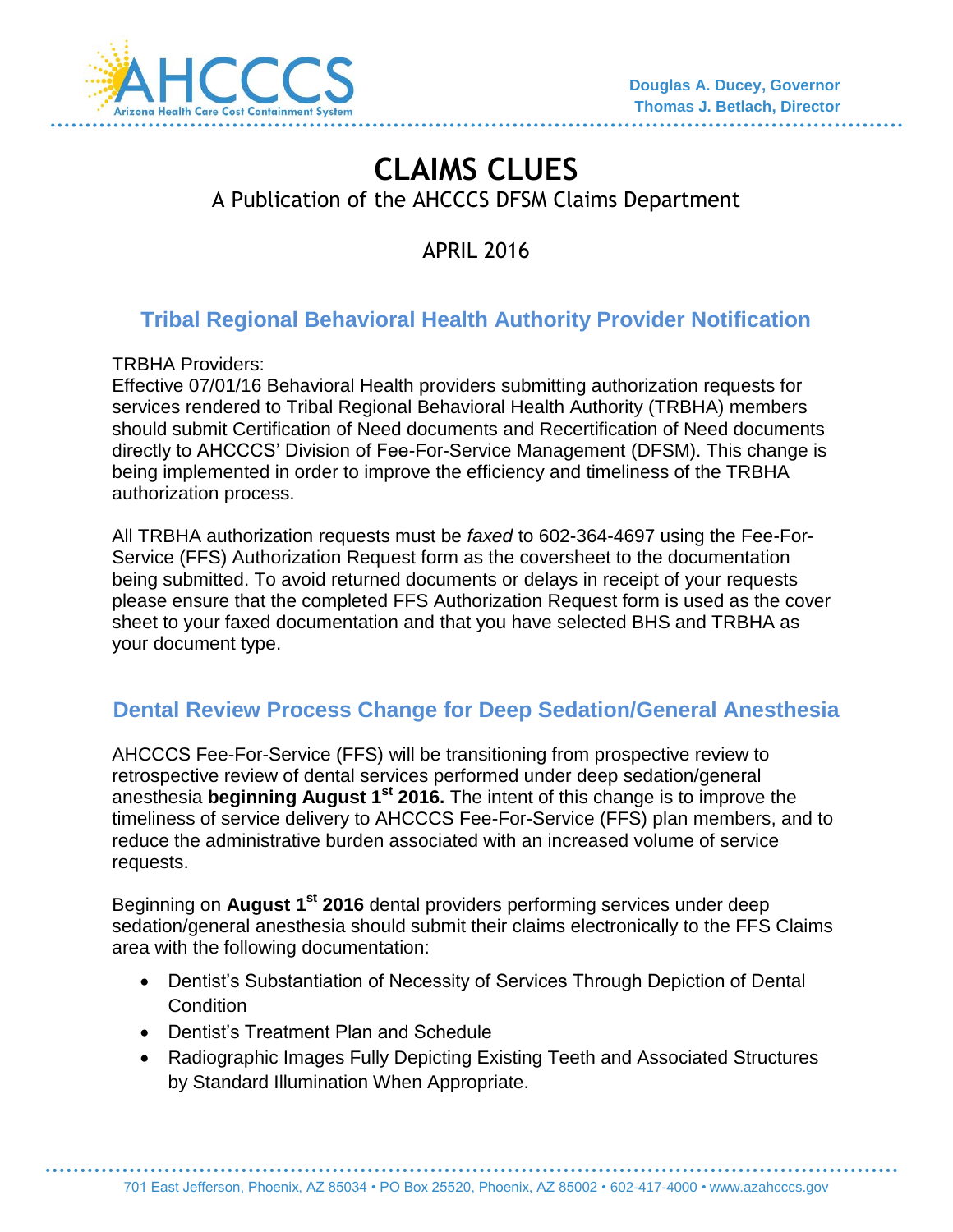

# **CLAIMS CLUES**  A Publication of the AHCCCS DFSM Claims Department

APRIL 2016

## **Tribal Regional Behavioral Health Authority Provider Notification**

TRBHA Providers:

Effective 07/01/16 Behavioral Health providers submitting authorization requests for services rendered to Tribal Regional Behavioral Health Authority (TRBHA) members should submit Certification of Need documents and Recertification of Need documents directly to AHCCCS' Division of Fee-For-Service Management (DFSM). This change is being implemented in order to improve the efficiency and timeliness of the TRBHA authorization process.

All TRBHA authorization requests must be *faxed* to 602-364-4697 using the Fee-For-Service (FFS) Authorization Request form as the coversheet to the documentation being submitted. To avoid returned documents or delays in receipt of your requests please ensure that the completed FFS Authorization Request form is used as the cover sheet to your faxed documentation and that you have selected BHS and TRBHA as your document type.

## **Dental Review Process Change for Deep Sedation/General Anesthesia**

AHCCCS Fee-For-Service (FFS) will be transitioning from prospective review to retrospective review of dental services performed under deep sedation/general anesthesia **beginning August 1st 2016.** The intent of this change is to improve the timeliness of service delivery to AHCCCS Fee-For-Service (FFS) plan members, and to reduce the administrative burden associated with an increased volume of service requests.

Beginning on **August 1st 2016** dental providers performing services under deep sedation/general anesthesia should submit their claims electronically to the FFS Claims area with the following documentation:

- Dentist's Substantiation of Necessity of Services Through Depiction of Dental **Condition**
- Dentist's Treatment Plan and Schedule
- Radiographic Images Fully Depicting Existing Teeth and Associated Structures by Standard Illumination When Appropriate.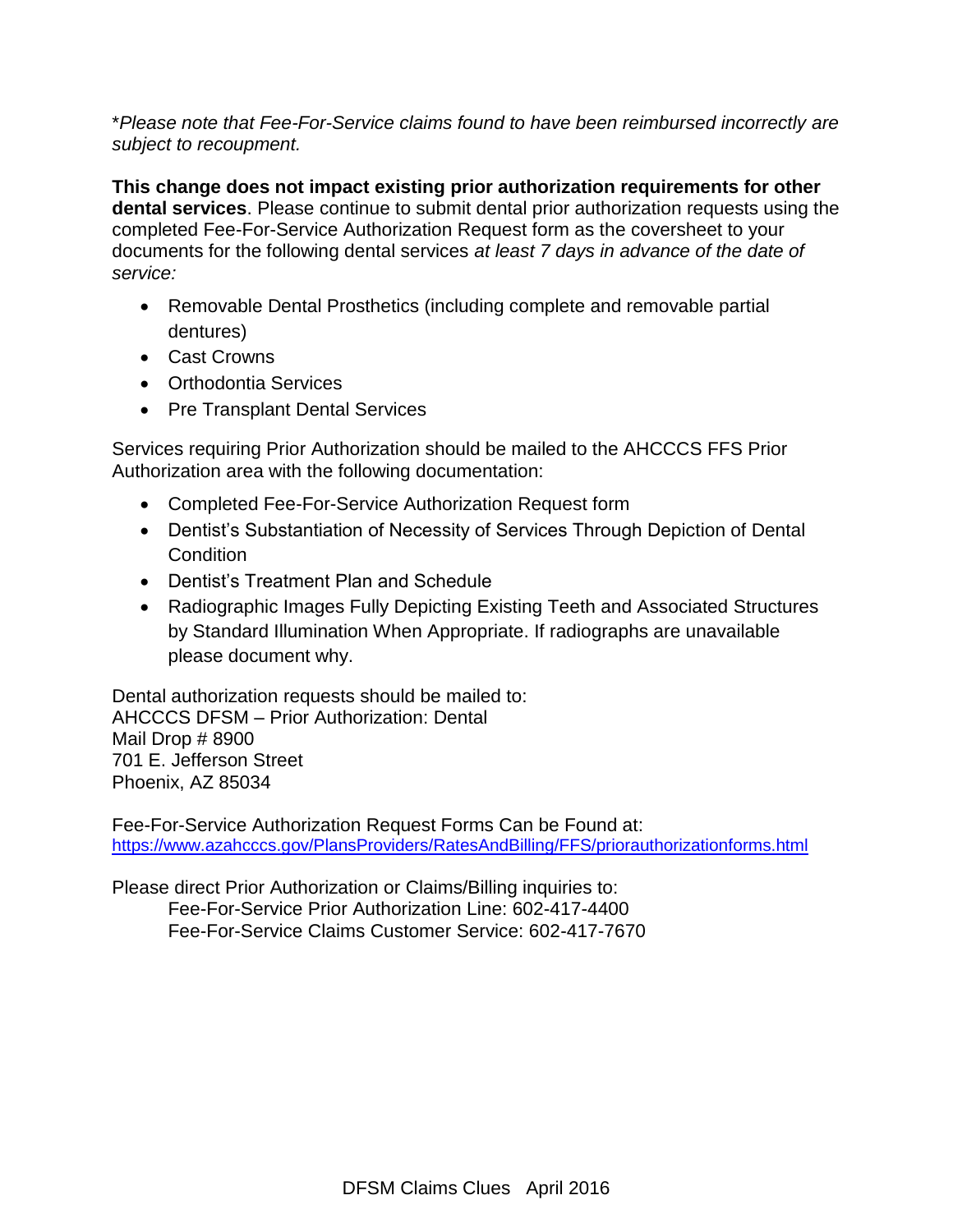\**Please note that Fee-For-Service claims found to have been reimbursed incorrectly are subject to recoupment.* 

**This change does not impact existing prior authorization requirements for other dental services**. Please continue to submit dental prior authorization requests using the completed Fee-For-Service Authorization Request form as the coversheet to your documents for the following dental services *at least 7 days in advance of the date of service:*

- Removable Dental Prosthetics (including complete and removable partial dentures)
- Cast Crowns
- Orthodontia Services
- Pre Transplant Dental Services

Services requiring Prior Authorization should be mailed to the AHCCCS FFS Prior Authorization area with the following documentation:

- Completed Fee-For-Service Authorization Request form
- Dentist's Substantiation of Necessity of Services Through Depiction of Dental Condition
- Dentist's Treatment Plan and Schedule
- Radiographic Images Fully Depicting Existing Teeth and Associated Structures by Standard Illumination When Appropriate. If radiographs are unavailable please document why.

Dental authorization requests should be mailed to: AHCCCS DFSM – Prior Authorization: Dental Mail Drop # 8900 701 E. Jefferson Street Phoenix, AZ 85034

Fee-For-Service Authorization Request Forms Can be Found at: <https://www.azahcccs.gov/PlansProviders/RatesAndBilling/FFS/priorauthorizationforms.html>

Please direct Prior Authorization or Claims/Billing inquiries to: Fee-For-Service Prior Authorization Line: 602-417-4400 Fee-For-Service Claims Customer Service: 602-417-7670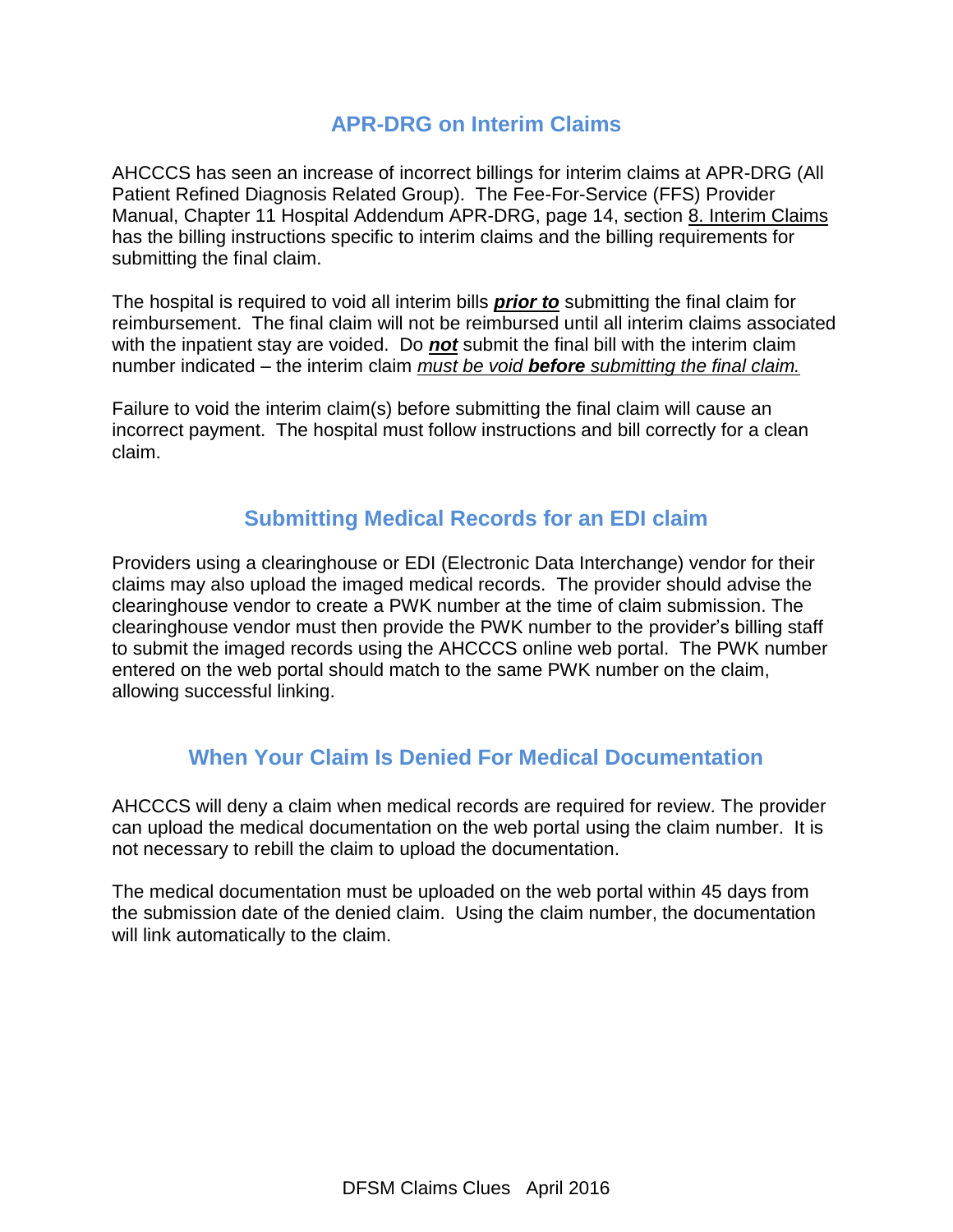#### **APR-DRG on Interim Claims**

AHCCCS has seen an increase of incorrect billings for interim claims at APR-DRG (All Patient Refined Diagnosis Related Group). The Fee-For-Service (FFS) Provider Manual, Chapter 11 Hospital Addendum APR-DRG, page 14, section 8. Interim Claims has the billing instructions specific to interim claims and the billing requirements for submitting the final claim.

The hospital is required to void all interim bills *prior to* submitting the final claim for reimbursement. The final claim will not be reimbursed until all interim claims associated with the inpatient stay are voided. Do *not* submit the final bill with the interim claim number indicated – the interim claim *must be void before submitting the final claim.*

Failure to void the interim claim(s) before submitting the final claim will cause an incorrect payment. The hospital must follow instructions and bill correctly for a clean claim.

#### **Submitting Medical Records for an EDI claim**

Providers using a clearinghouse or EDI (Electronic Data Interchange) vendor for their claims may also upload the imaged medical records. The provider should advise the clearinghouse vendor to create a PWK number at the time of claim submission. The clearinghouse vendor must then provide the PWK number to the provider's billing staff to submit the imaged records using the AHCCCS online web portal. The PWK number entered on the web portal should match to the same PWK number on the claim, allowing successful linking.

## **When Your Claim Is Denied For Medical Documentation**

AHCCCS will deny a claim when medical records are required for review. The provider can upload the medical documentation on the web portal using the claim number. It is not necessary to rebill the claim to upload the documentation.

The medical documentation must be uploaded on the web portal within 45 days from the submission date of the denied claim. Using the claim number, the documentation will link automatically to the claim.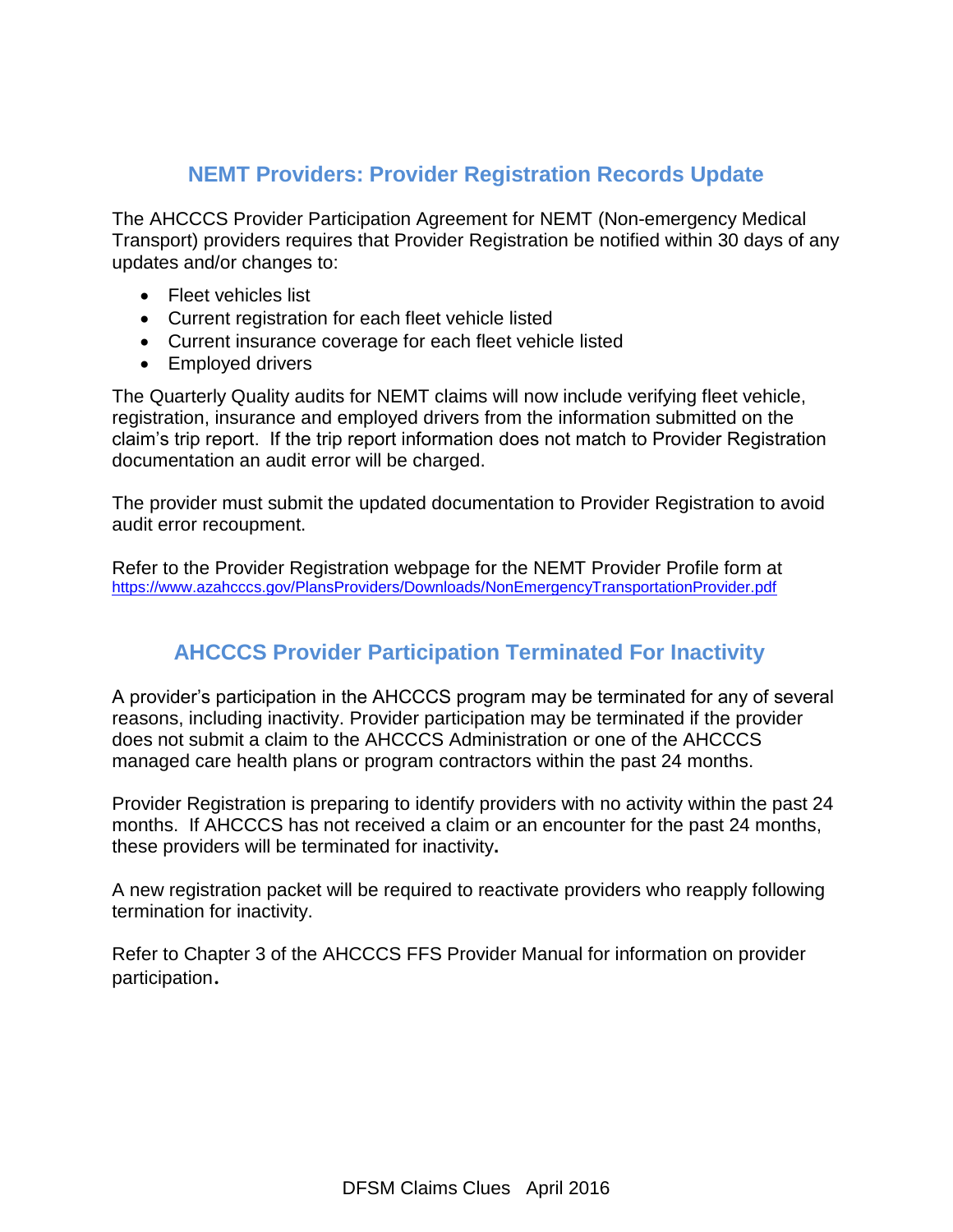#### **NEMT Providers: Provider Registration Records Update**

The AHCCCS Provider Participation Agreement for NEMT (Non-emergency Medical Transport) providers requires that Provider Registration be notified within 30 days of any updates and/or changes to:

- Fleet vehicles list
- Current registration for each fleet vehicle listed
- Current insurance coverage for each fleet vehicle listed
- Employed drivers

The Quarterly Quality audits for NEMT claims will now include verifying fleet vehicle, registration, insurance and employed drivers from the information submitted on the claim's trip report. If the trip report information does not match to Provider Registration documentation an audit error will be charged.

The provider must submit the updated documentation to Provider Registration to avoid audit error recoupment.

Refer to the Provider Registration webpage for the NEMT Provider Profile form at <https://www.azahcccs.gov/PlansProviders/Downloads/NonEmergencyTransportationProvider.pdf>

## **AHCCCS Provider Participation Terminated For Inactivity**

A provider's participation in the AHCCCS program may be terminated for any of several reasons, including inactivity. Provider participation may be terminated if the provider does not submit a claim to the AHCCCS Administration or one of the AHCCCS managed care health plans or program contractors within the past 24 months.

Provider Registration is preparing to identify providers with no activity within the past 24 months. If AHCCCS has not received a claim or an encounter for the past 24 months, these providers will be terminated for inactivity**.** 

A new registration packet will be required to reactivate providers who reapply following termination for inactivity.

Refer to Chapter 3 of the AHCCCS FFS Provider Manual for information on provider participation.